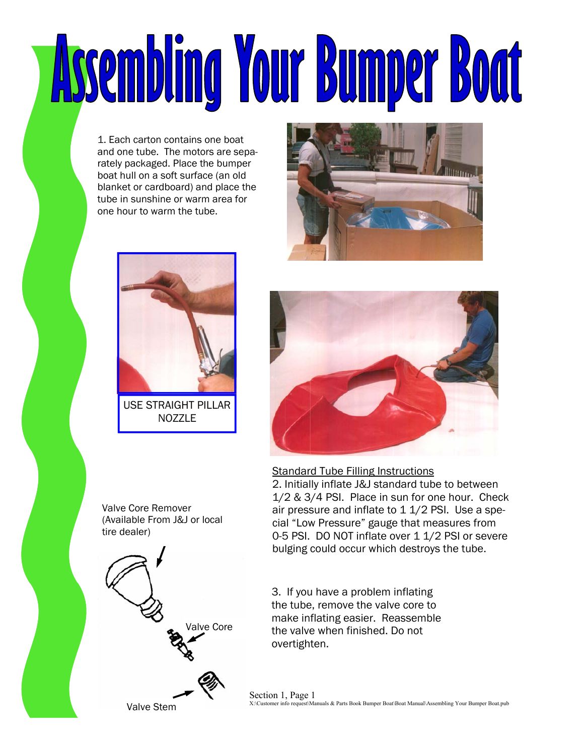# Assembling Your Bumper Boat

1. Each carton contains one boat and one tube. The motors are separately packaged. Place the bumper boat hull on a soft surface (an old blanket or cardboard) and place the tube in sunshine or warm area for one hour to warm the tube.





NO<sub>ZZ</sub>I F

Valve Core Remover (Available From J&J or local tire dealer)







Standard Tube Filling Instructions

2. Initially inflate J&J standard tube to between 1/2 & 3/4 PSI. Place in sun for one hour. Check air pressure and inflate to 1 1/2 PSI. Use a special "Low Pressure" gauge that measures from 0-5 PSI. DO NOT inflate over 1 1/2 PSI or severe bulging could occur which destroys the tube.

3. If you have a problem inflating the tube, remove the valve core to make inflating easier. Reassemble the valve when finished. Do not overtighten.

Section 1, Page 1 X:\Customer info request\Manuals & Parts Book Bumper Boat\Boat Manual\Assembling Your Bumper Boat.pub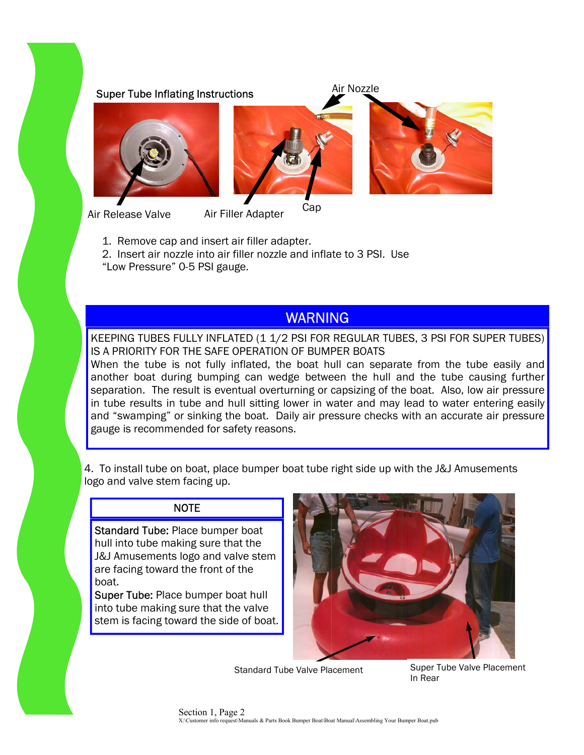## Super Tube Inflating Instructions Air Nozzle







Air Release Valve Air Filler Adapter Cap Air Filler Adapter

- 1. Remove cap and insert air filler adapter.
- 2. Insert air nozzle into air filler nozzle and inflate to 3 PSI. Use
- "Low Pressure" 0-5 PSI gauge.

# WARNING

KEEPING TUBES FULLY INFLATED (1 1/2 PSI FOR REGULAR TUBES, 3 PSI FOR SUPER TUBES) IS A PRIORITY FOR THE SAFE OPERATION OF BUMPER BOATS

When the tube is not fully inflated, the boat hull can separate from the tube easily and another boat during bumping can wedge between the hull and the tube causing further separation. The result is eventual overturning or capsizing of the boat. Also, low air pressure in tube results in tube and hull sitting lower in water and may lead to water entering easily and "swamping" or sinking the boat. Daily air pressure checks with an accurate air pressure gauge is recommended for safety reasons.

4. To install tube on boat, place bumper boat tube right side up with the J&J Amusements logo and valve stem facing up.

#### NOTE

Standard Tube: Place bumper boat hull into tube making sure that the J&J Amusements logo and valve stem are facing toward the front of the boat.

Super Tube: Place bumper boat hull into tube making sure that the valve stem is facing toward the side of boat.



Standard Tube Valve Placement Super Tube Valve Placement In Rear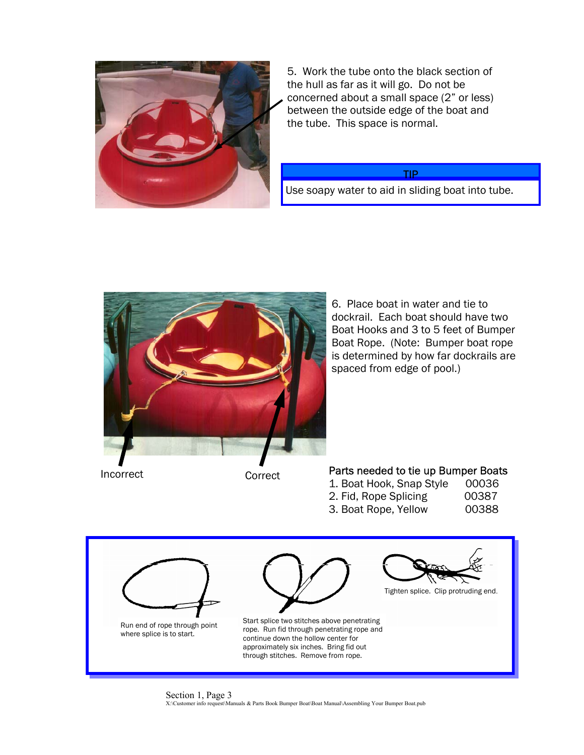

5. Work the tube onto the black section of the hull as far as it will go. Do not be concerned about a small space (2" or less) between the outside edge of the boat and the tube. This space is normal.

#### TIP

Use soapy water to aid in sliding boat into tube.



6. Place boat in water and tie to dockrail. Each boat should have two Boat Hooks and 3 to 5 feet of Bumper Boat Rope. (Note: Bumper boat rope is determined by how far dockrails are spaced from edge of pool.)

## Incorrect **Correct** Correct **Parts needed to tie up Bumper Boats**

| 1. Boat Hook, Snap Style | 00036  |
|--------------------------|--------|
| 2. Fid, Rope Splicing    | 00387  |
|                          | ^^^^^^ |

3. Boat Rope, Yellow 00388



Section 1, Page 3 X:\Customer info request\Manuals & Parts Book Bumper Boat\Boat Manual\Assembling Your Bumper Boat.pub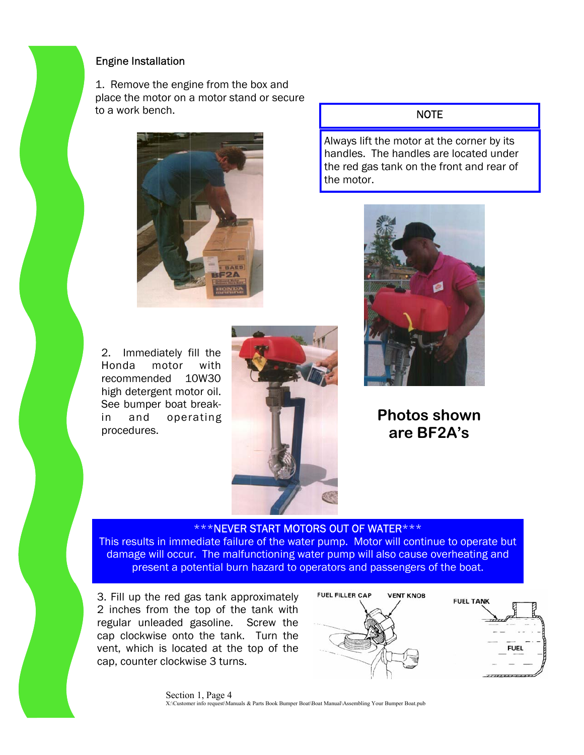#### Engine Installation

1. Remove the engine from the box and place the motor on a motor stand or secure to a work bench.



2. Immediately fill the Honda motor with recommended 10W30 high detergent motor oil. See bumper boat breakin and operating procedures.



#### NOTE

Always lift the motor at the corner by its handles. The handles are located under the red gas tank on the front and rear of the motor.



# **Photos shown are BF2A's**

### \*\*\*NEVER START MOTORS OUT OF WATER\*\*\*

This results in immediate failure of the water pump. Motor will continue to operate but damage will occur. The malfunctioning water pump will also cause overheating and present a potential burn hazard to operators and passengers of the boat.

3. Fill up the red gas tank approximately 2 inches from the top of the tank with regular unleaded gasoline. Screw the cap clockwise onto the tank. Turn the vent, which is located at the top of the cap, counter clockwise 3 turns.





Section 1, Page 4 X:\Customer info request\Manuals & Parts Book Bumper Boat\Boat Manual\Assembling Your Bumper Boat.pub